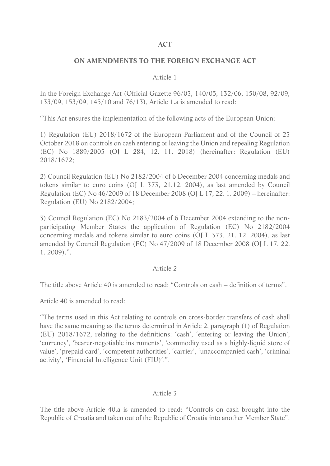#### **ACT**

#### **ON AMENDMENTS TO THE FOREIGN EXCHANGE ACT**

#### Article 1

In the Foreign Exchange Act (Official Gazette 96/03, 140/05, 132/06, 150/08, 92/09, 133/09, 153/09, 145/10 and 76/13), Article 1.a is amended to read:

"This Act ensures the implementation of the following acts of the European Union:

1) Regulation (EU) 2018/1672 of the European Parliament and of the Council of 23 October 2018 on controls on cash entering or leaving the Union and repealing Regulation (EC) No 1889/2005 (OJ L 284, 12. 11. 2018) (hereinafter: Regulation (EU) 2018/1672;

2) Council Regulation (EU) No 2182/2004 of 6 December 2004 concerning medals and tokens similar to euro coins (OJ L 373, 21.12. 2004), as last amended by Council Regulation (EC) No 46/2009 of 18 December 2008 (OJ L 17, 22. 1. 2009) – hereinafter: Regulation (EU) No 2182/2004;

3) Council Regulation (EC) No 2183/2004 of 6 December 2004 extending to the nonparticipating Member States the application of Regulation (EC) No 2182/2004 concerning medals and tokens similar to euro coins (OJ L 373, 21. 12. 2004), as last amended by Council Regulation (EC) No 47/2009 of 18 December 2008 (OJ L 17, 22. 1. 2009).".

#### Article 2

The title above Article 40 is amended to read: "Controls on cash – definition of terms".

Article 40 is amended to read:

"The terms used in this Act relating to controls on cross-border transfers of cash shall have the same meaning as the terms determined in Article 2, paragraph (1) of Regulation (EU) 2018/1672, relating to the definitions: 'cash', 'entering or leaving the Union', 'currency', 'bearer-negotiable instruments', 'commodity used as a highly-liquid store of value', 'prepaid card', 'competent authorities', 'carrier', 'unaccompanied cash', 'criminal activity', 'Financial Intelligence Unit (FIU)'.".

### Article 3

The title above Article 40.a is amended to read: "Controls on cash brought into the Republic of Croatia and taken out of the Republic of Croatia into another Member State".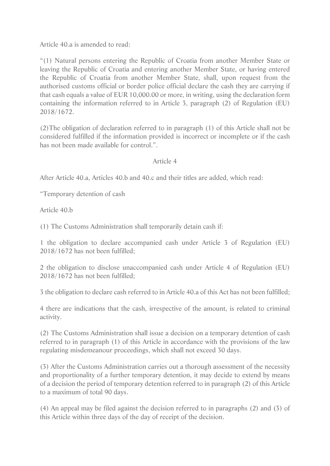Article 40.a is amended to read:

"(1) Natural persons entering the Republic of Croatia from another Member State or leaving the Republic of Croatia and entering another Member State, or having entered the Republic of Croatia from another Member State, shall, upon request from the authorised customs official or border police official declare the cash they are carrying if that cash equals a value of EUR 10,000.00 or more, in writing, using the declaration form containing the information referred to in Article 3, paragraph (2) of Regulation (EU) 2018/1672.

(2)The obligation of declaration referred to in paragraph (1) of this Article shall not be considered fulfilled if the information provided is incorrect or incomplete or if the cash has not been made available for control.".

# Article 4

After Article 40.a, Articles 40.b and 40.c and their titles are added, which read:

"Temporary detention of cash

Article 40.b

(1) The Customs Administration shall temporarily detain cash if:

1 the obligation to declare accompanied cash under Article 3 of Regulation (EU) 2018/1672 has not been fulfilled;

2 the obligation to disclose unaccompanied cash under Article 4 of Regulation (EU) 2018/1672 has not been fulfilled;

3 the obligation to declare cash referred to in Article 40.a of this Act has not been fulfilled;

4 there are indications that the cash, irrespective of the amount, is related to criminal activity.

(2) The Customs Administration shall issue a decision on a temporary detention of cash referred to in paragraph (1) of this Article in accordance with the provisions of the law regulating misdemeanour proceedings, which shall not exceed 30 days.

(3) After the Customs Administration carries out a thorough assessment of the necessity and proportionality of a further temporary detention, it may decide to extend by means of a decision the period of temporary detention referred to in paragraph (2) of this Article to a maximum of total 90 days.

(4) An appeal may be filed against the decision referred to in paragraphs (2) and (3) of this Article within three days of the day of receipt of the decision.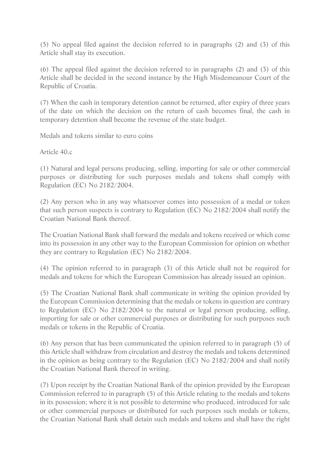(5) No appeal filed against the decision referred to in paragraphs (2) and (3) of this Article shall stay its execution.

(6) The appeal filed against the decision referred to in paragraphs (2) and (3) of this Article shall be decided in the second instance by the High Misdemeanour Court of the Republic of Croatia.

(7) When the cash in temporary detention cannot be returned, after expiry of three years of the date on which the decision on the return of cash becomes final, the cash in temporary detention shall become the revenue of the state budget.

Medals and tokens similar to euro coins

Article 40.c

(1) Natural and legal persons producing, selling, importing for sale or other commercial purposes or distributing for such purposes medals and tokens shall comply with Regulation (EC) No 2182/2004.

(2) Any person who in any way whatsoever comes into possession of a medal or token that such person suspects is contrary to Regulation (EC) No 2182/2004 shall notify the Croatian National Bank thereof.

The Croatian National Bank shall forward the medals and tokens received or which come into its possession in any other way to the European Commission for opinion on whether they are contrary to Regulation (EC) No 2182/2004.

(4) The opinion referred to in paragraph (3) of this Article shall not be required for medals and tokens for which the European Commission has already issued an opinion.

(5) The Croatian National Bank shall communicate in writing the opinion provided by the European Commission determining that the medals or tokens in question are contrary to Regulation (EC) No 2182/2004 to the natural or legal person producing, selling, importing for sale or other commercial purposes or distributing for such purposes such medals or tokens in the Republic of Croatia.

(6) Any person that has been communicated the opinion referred to in paragraph (5) of this Article shall withdraw from circulation and destroy the medals and tokens determined in the opinion as being contrary to the Regulation (EC) No 2182/2004 and shall notify the Croatian National Bank thereof in writing.

(7) Upon receipt by the Croatian National Bank of the opinion provided by the European Commission referred to in paragraph (5) of this Article relating to the medals and tokens in its possession; where it is not possible to determine who produced, introduced for sale or other commercial purposes or distributed for such purposes such medals or tokens, the Croatian National Bank shall detain such medals and tokens and shall have the right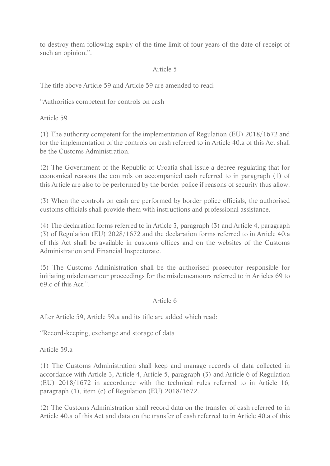to destroy them following expiry of the time limit of four years of the date of receipt of such an opinion.".

# Article 5

The title above Article 59 and Article 59 are amended to read:

"Authorities competent for controls on cash

Article 59

(1) The authority competent for the implementation of Regulation (EU) 2018/1672 and for the implementation of the controls on cash referred to in Article 40.a of this Act shall be the Customs Administration.

(2) The Government of the Republic of Croatia shall issue a decree regulating that for economical reasons the controls on accompanied cash referred to in paragraph (1) of this Article are also to be performed by the border police if reasons of security thus allow.

(3) When the controls on cash are performed by border police officials, the authorised customs officials shall provide them with instructions and professional assistance.

(4) The declaration forms referred to in Article 3, paragraph (3) and Article 4, paragraph (3) of Regulation (EU) 2028/1672 and the declaration forms referred to in Article 40.a of this Act shall be available in customs offices and on the websites of the Customs Administration and Financial Inspectorate.

(5) The Customs Administration shall be the authorised prosecutor responsible for initiating misdemeanour proceedings for the misdemeanours referred to in Articles 69 to 69.c of this Act.".

### Article 6

After Article 59, Article 59.a and its title are added which read:

"Record-keeping, exchange and storage of data

Article 59.a

(1) The Customs Administration shall keep and manage records of data collected in accordance with Article 3, Article 4, Article 5, paragraph (3) and Article 6 of Regulation (EU) 2018/1672 in accordance with the technical rules referred to in Article 16, paragraph (1), item (c) of Regulation (EU) 2018/1672.

(2) The Customs Administration shall record data on the transfer of cash referred to in Article 40.a of this Act and data on the transfer of cash referred to in Article 40.a of this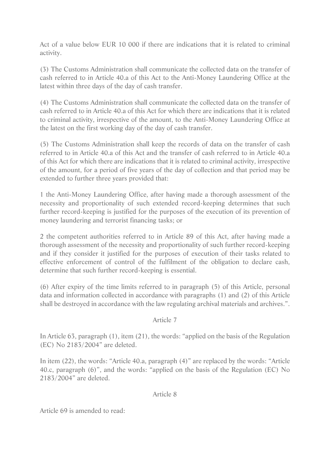Act of a value below EUR 10 000 if there are indications that it is related to criminal activity.

(3) The Customs Administration shall communicate the collected data on the transfer of cash referred to in Article 40.a of this Act to the Anti-Money Laundering Office at the latest within three days of the day of cash transfer.

(4) The Customs Administration shall communicate the collected data on the transfer of cash referred to in Article 40.a of this Act for which there are indications that it is related to criminal activity, irrespective of the amount, to the Anti-Money Laundering Office at the latest on the first working day of the day of cash transfer.

(5) The Customs Administration shall keep the records of data on the transfer of cash referred to in Article 40.a of this Act and the transfer of cash referred to in Article 40.a of this Act for which there are indications that it is related to criminal activity, irrespective of the amount, for a period of five years of the day of collection and that period may be extended to further three years provided that:

1 the Anti-Money Laundering Office, after having made a thorough assessment of the necessity and proportionality of such extended record-keeping determines that such further record-keeping is justified for the purposes of the execution of its prevention of money laundering and terrorist financing tasks; or

2 the competent authorities referred to in Article 89 of this Act, after having made a thorough assessment of the necessity and proportionality of such further record-keeping and if they consider it justified for the purposes of execution of their tasks related to effective enforcement of control of the fulfilment of the obligation to declare cash, determine that such further record-keeping is essential.

(6) After expiry of the time limits referred to in paragraph (5) of this Article, personal data and information collected in accordance with paragraphs (1) and (2) of this Article shall be destroyed in accordance with the law regulating archival materials and archives.".

### Article 7

In Article 63, paragraph (1), item (21), the words: "applied on the basis of the Regulation (EC) No 2183/2004" are deleted.

In item (22), the words: "Article 40.a, paragraph (4)" are replaced by the words: "Article 40.c, paragraph (6)", and the words: "applied on the basis of the Regulation (EC) No 2183/2004" are deleted.

# Article 8

Article 69 is amended to read: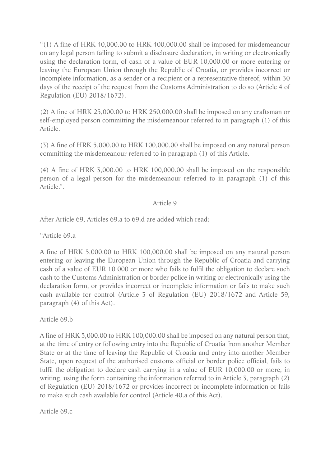"(1) A fine of HRK 40,000.00 to HRK 400,000.00 shall be imposed for misdemeanour on any legal person failing to submit a disclosure declaration, in writing or electronically using the declaration form, of cash of a value of EUR 10,000.00 or more entering or leaving the European Union through the Republic of Croatia, or provides incorrect or incomplete information, as a sender or a recipient or a representative thereof, within 30 days of the receipt of the request from the Customs Administration to do so (Article 4 of Regulation (EU) 2018/1672).

(2) A fine of HRK 25,000.00 to HRK 250,000.00 shall be imposed on any craftsman or self-employed person committing the misdemeanour referred to in paragraph (1) of this Article.

(3) A fine of HRK 5,000.00 to HRK 100,000.00 shall be imposed on any natural person committing the misdemeanour referred to in paragraph (1) of this Article.

(4) A fine of HRK 3,000.00 to HRK 100,000.00 shall be imposed on the responsible person of a legal person for the misdemeanour referred to in paragraph (1) of this Article.".

### Article 9

After Article 69, Articles 69.a to 69.d are added which read:

"Article 69.a

A fine of HRK 5,000.00 to HRK 100,000.00 shall be imposed on any natural person entering or leaving the European Union through the Republic of Croatia and carrying cash of a value of EUR 10 000 or more who fails to fulfil the obligation to declare such cash to the Customs Administration or border police in writing or electronically using the declaration form, or provides incorrect or incomplete information or fails to make such cash available for control (Article 3 of Regulation (EU) 2018/1672 and Article 59, paragraph (4) of this Act).

Article 69.b

A fine of HRK 5,000.00 to HRK 100,000.00 shall be imposed on any natural person that, at the time of entry or following entry into the Republic of Croatia from another Member State or at the time of leaving the Republic of Croatia and entry into another Member State, upon request of the authorised customs official or border police official, fails to fulfil the obligation to declare cash carrying in a value of EUR 10,000.00 or more, in writing, using the form containing the information referred to in Article 3, paragraph (2) of Regulation (EU) 2018/1672 or provides incorrect or incomplete information or fails to make such cash available for control (Article 40.a of this Act).

Article 69.c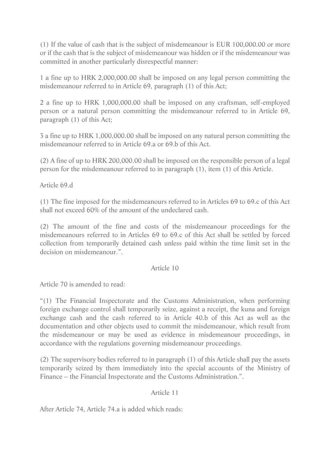(1) If the value of cash that is the subject of misdemeanour is EUR 100,000.00 or more or if the cash that is the subject of misdemeanour was hidden or if the misdemeanour was committed in another particularly disrespectful manner:

1 a fine up to HRK 2,000,000.00 shall be imposed on any legal person committing the misdemeanour referred to in Article 69, paragraph (1) of this Act;

2 a fine up to HRK 1,000,000.00 shall be imposed on any craftsman, self-employed person or a natural person committing the misdemeanour referred to in Article 69, paragraph (1) of this Act;

3 a fine up to HRK 1,000,000.00 shall be imposed on any natural person committing the misdemeanour referred to in Article 69.a or 69.b of this Act.

(2) A fine of up to HRK 200,000.00 shall be imposed on the responsible person of a legal person for the misdemeanour referred to in paragraph (1), item (1) of this Article.

Article 69.d

(1) The fine imposed for the misdemeanours referred to in Articles 69 to 69.c of this Act shall not exceed 60% of the amount of the undeclared cash.

(2) The amount of the fine and costs of the misdemeanour proceedings for the misdemeanours referred to in Articles 69 to 69.c of this Act shall be settled by forced collection from temporarily detained cash unless paid within the time limit set in the decision on misdemeanour.".

### Article 10

Article 70 is amended to read:

"(1) The Financial Inspectorate and the Customs Administration, when performing foreign exchange control shall temporarily seize, against a receipt, the kuna and foreign exchange cash and the cash referred to in Article 40.b of this Act as well as the documentation and other objects used to commit the misdemeanour, which result from the misdemeanour or may be used as evidence in misdemeanour proceedings, in accordance with the regulations governing misdemeanour proceedings.

(2) The supervisory bodies referred to in paragraph (1) of this Article shall pay the assets temporarily seized by them immediately into the special accounts of the Ministry of Finance – the Financial Inspectorate and the Customs Administration.".

### Article 11

After Article 74, Article 74.a is added which reads: